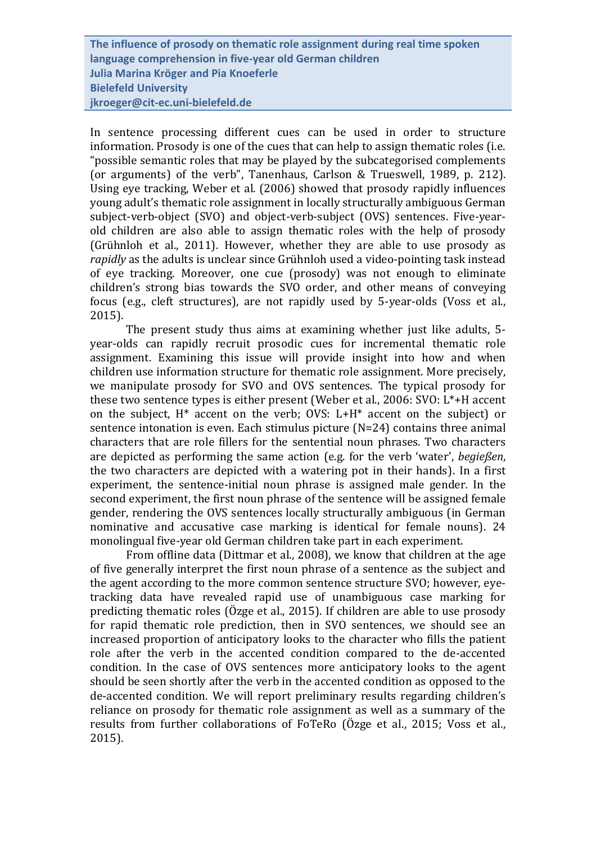**The influence of prosody on thematic role assignment during real time spoken language comprehension in five-year old German children Julia Marina Kröger and Pia Knoeferle Bielefeld University jkroeger@cit-ec.uni-bielefeld.de** 

In sentence processing different cues can be used in order to structure information. Prosody is one of the cues that can help to assign thematic roles (i.e. "possible semantic roles that may be played by the subcategorised complements (or arguments) of the verb", Tanenhaus, Carlson & Trueswell, 1989, p. 212). Using eye tracking, Weber et al. (2006) showed that prosody rapidly influences young adult's thematic role assignment in locally structurally ambiguous German subject-verb-object (SVO) and object-verb-subject (OVS) sentences. Five-yearold children are also able to assign thematic roles with the help of prosody (Grühnloh et al., 2011). However, whether they are able to use prosody as *rapidly* as the adults is unclear since Grühnloh used a video-pointing task instead of eye tracking. Moreover, one cue (prosody) was not enough to eliminate children's strong bias towards the SVO order, and other means of conveying focus (e.g., cleft structures), are not rapidly used by 5-year-olds (Voss et al., 2015).

The present study thus aims at examining whether just like adults, 5 year-olds can rapidly recruit prosodic cues for incremental thematic role assignment. Examining this issue will provide insight into how and when children use information structure for thematic role assignment. More precisely, we manipulate prosody for SVO and OVS sentences. The typical prosody for these two sentence types is either present (Weber et al., 2006: SVO: L\*+H accent on the subject, H\* accent on the verb; OVS: L+H\* accent on the subject) or sentence intonation is even. Each stimulus picture (N=24) contains three animal characters that are role fillers for the sentential noun phrases. Two characters are depicted as performing the same action (e.g. for the verb 'water', *begießen*, the two characters are depicted with a watering pot in their hands). In a first experiment, the sentence-initial noun phrase is assigned male gender*.* In the second experiment, the first noun phrase of the sentence will be assigned female gender, rendering the OVS sentences locally structurally ambiguous (in German nominative and accusative case marking is identical for female nouns). 24 monolingual five-year old German children take part in each experiment.

From offline data (Dittmar et al., 2008), we know that children at the age of five generally interpret the first noun phrase of a sentence as the subject and the agent according to the more common sentence structure SVO; however, eyetracking data have revealed rapid use of unambiguous case marking for predicting thematic roles (Özge et al., 2015). If children are able to use prosody for rapid thematic role prediction, then in SVO sentences, we should see an increased proportion of anticipatory looks to the character who fills the patient role after the verb in the accented condition compared to the de-accented condition. In the case of OVS sentences more anticipatory looks to the agent should be seen shortly after the verb in the accented condition as opposed to the de-accented condition. We will report preliminary results regarding children's reliance on prosody for thematic role assignment as well as a summary of the results from further collaborations of FoTeRo (Özge et al., 2015; Voss et al., 2015).